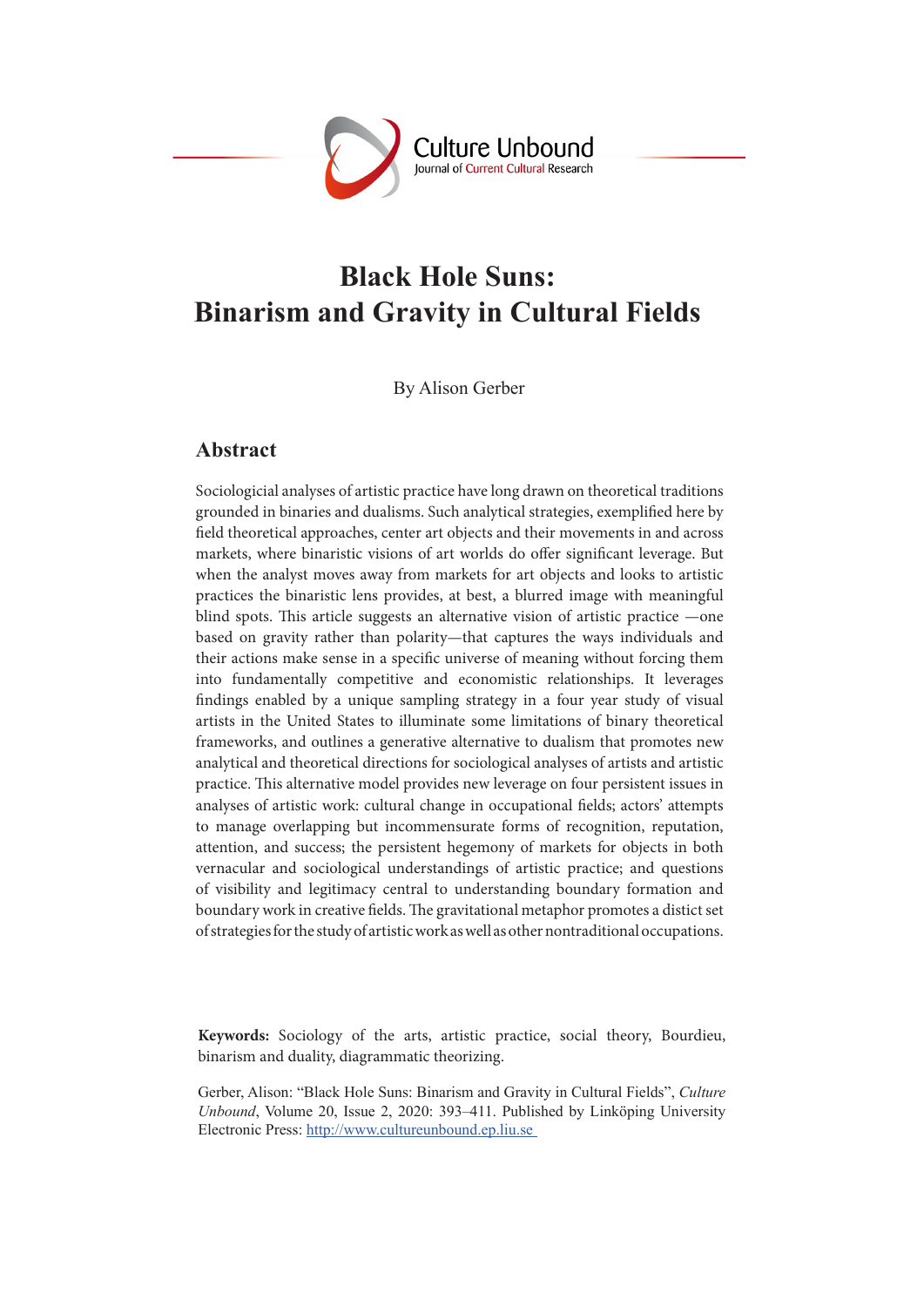

# **Black Hole Suns: Binarism and Gravity in Cultural Fields**

By Alison Gerber

### **Abstract**

Sociologicial analyses of artistic practice have long drawn on theoretical traditions grounded in binaries and dualisms. Such analytical strategies, exemplified here by field theoretical approaches, center art objects and their movements in and across markets, where binaristic visions of art worlds do offer significant leverage. But when the analyst moves away from markets for art objects and looks to artistic practices the binaristic lens provides, at best, a blurred image with meaningful blind spots. This article suggests an alternative vision of artistic practice —one based on gravity rather than polarity—that captures the ways individuals and their actions make sense in a specific universe of meaning without forcing them into fundamentally competitive and economistic relationships. It leverages findings enabled by a unique sampling strategy in a four year study of visual artists in the United States to illuminate some limitations of binary theoretical frameworks, and outlines a generative alternative to dualism that promotes new analytical and theoretical directions for sociological analyses of artists and artistic practice. This alternative model provides new leverage on four persistent issues in analyses of artistic work: cultural change in occupational fields; actors' attempts to manage overlapping but incommensurate forms of recognition, reputation, attention, and success; the persistent hegemony of markets for objects in both vernacular and sociological understandings of artistic practice; and questions of visibility and legitimacy central to understanding boundary formation and boundary work in creative fields. The gravitational metaphor promotes a distict set of strategies for the study of artistic work as well as other nontraditional occupations.

**Keywords:** Sociology of the arts, artistic practice, social theory, Bourdieu, binarism and duality, diagrammatic theorizing.

Gerber, Alison: "Black Hole Suns: Binarism and Gravity in Cultural Fields", *Culture Unbound*, Volume 20, Issue 2, 2020: 393–411. Published by Linköping University Electronic Press: http://www.cultureunbound.ep.liu.se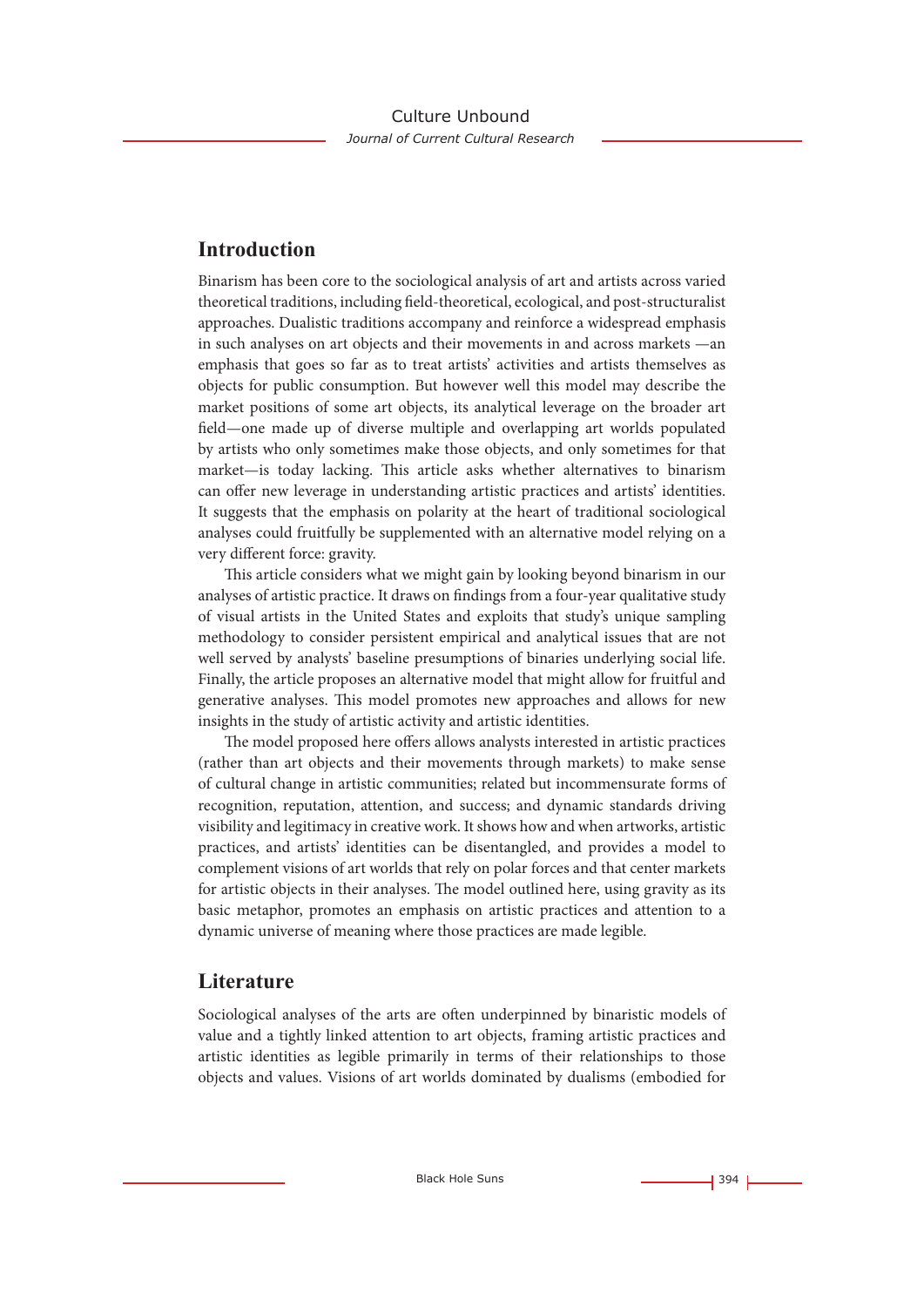# **Introduction**

Binarism has been core to the sociological analysis of art and artists across varied theoretical traditions, including field-theoretical, ecological, and post-structuralist approaches. Dualistic traditions accompany and reinforce a widespread emphasis in such analyses on art objects and their movements in and across markets —an emphasis that goes so far as to treat artists' activities and artists themselves as objects for public consumption. But however well this model may describe the market positions of some art objects, its analytical leverage on the broader art field—one made up of diverse multiple and overlapping art worlds populated by artists who only sometimes make those objects, and only sometimes for that market—is today lacking. This article asks whether alternatives to binarism can offer new leverage in understanding artistic practices and artists' identities. It suggests that the emphasis on polarity at the heart of traditional sociological analyses could fruitfully be supplemented with an alternative model relying on a very different force: gravity.

This article considers what we might gain by looking beyond binarism in our analyses of artistic practice. It draws on findings from a four-year qualitative study of visual artists in the United States and exploits that study's unique sampling methodology to consider persistent empirical and analytical issues that are not well served by analysts' baseline presumptions of binaries underlying social life. Finally, the article proposes an alternative model that might allow for fruitful and generative analyses. This model promotes new approaches and allows for new insights in the study of artistic activity and artistic identities.

The model proposed here offers allows analysts interested in artistic practices (rather than art objects and their movements through markets) to make sense of cultural change in artistic communities; related but incommensurate forms of recognition, reputation, attention, and success; and dynamic standards driving visibility and legitimacy in creative work. It shows how and when artworks, artistic practices, and artists' identities can be disentangled, and provides a model to complement visions of art worlds that rely on polar forces and that center markets for artistic objects in their analyses. The model outlined here, using gravity as its basic metaphor, promotes an emphasis on artistic practices and attention to a dynamic universe of meaning where those practices are made legible.

# **Literature**

Sociological analyses of the arts are often underpinned by binaristic models of value and a tightly linked attention to art objects, framing artistic practices and artistic identities as legible primarily in terms of their relationships to those objects and values. Visions of art worlds dominated by dualisms (embodied for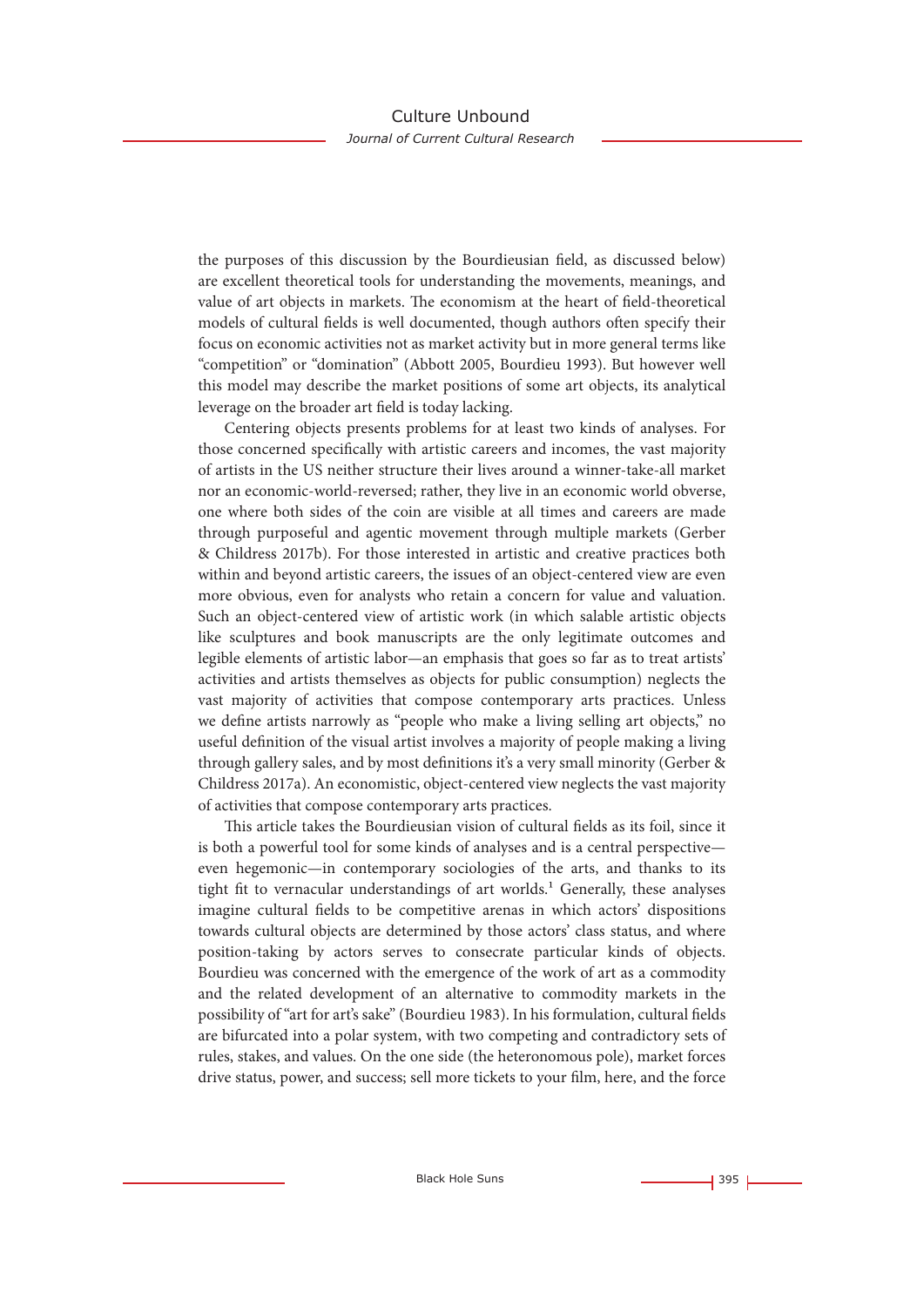the purposes of this discussion by the Bourdieusian field, as discussed below) are excellent theoretical tools for understanding the movements, meanings, and value of art objects in markets. The economism at the heart of field-theoretical models of cultural fields is well documented, though authors often specify their focus on economic activities not as market activity but in more general terms like "competition" or "domination" (Abbott 2005, Bourdieu 1993). But however well this model may describe the market positions of some art objects, its analytical leverage on the broader art field is today lacking.

Centering objects presents problems for at least two kinds of analyses. For those concerned specifically with artistic careers and incomes, the vast majority of artists in the US neither structure their lives around a winner-take-all market nor an economic-world-reversed; rather, they live in an economic world obverse, one where both sides of the coin are visible at all times and careers are made through purposeful and agentic movement through multiple markets (Gerber & Childress 2017b). For those interested in artistic and creative practices both within and beyond artistic careers, the issues of an object-centered view are even more obvious, even for analysts who retain a concern for value and valuation. Such an object-centered view of artistic work (in which salable artistic objects like sculptures and book manuscripts are the only legitimate outcomes and legible elements of artistic labor—an emphasis that goes so far as to treat artists' activities and artists themselves as objects for public consumption) neglects the vast majority of activities that compose contemporary arts practices. Unless we define artists narrowly as "people who make a living selling art objects," no useful definition of the visual artist involves a majority of people making a living through gallery sales, and by most definitions it's a very small minority (Gerber & Childress 2017a). An economistic, object-centered view neglects the vast majority of activities that compose contemporary arts practices.

This article takes the Bourdieusian vision of cultural fields as its foil, since it is both a powerful tool for some kinds of analyses and is a central perspective even hegemonic—in contemporary sociologies of the arts, and thanks to its tight fit to vernacular understandings of art worlds.<sup>1</sup> Generally, these analyses imagine cultural fields to be competitive arenas in which actors' dispositions towards cultural objects are determined by those actors' class status, and where position-taking by actors serves to consecrate particular kinds of objects. Bourdieu was concerned with the emergence of the work of art as a commodity and the related development of an alternative to commodity markets in the possibility of "art for art's sake" (Bourdieu 1983). In his formulation, cultural fields are bifurcated into a polar system, with two competing and contradictory sets of rules, stakes, and values. On the one side (the heteronomous pole), market forces drive status, power, and success; sell more tickets to your film, here, and the force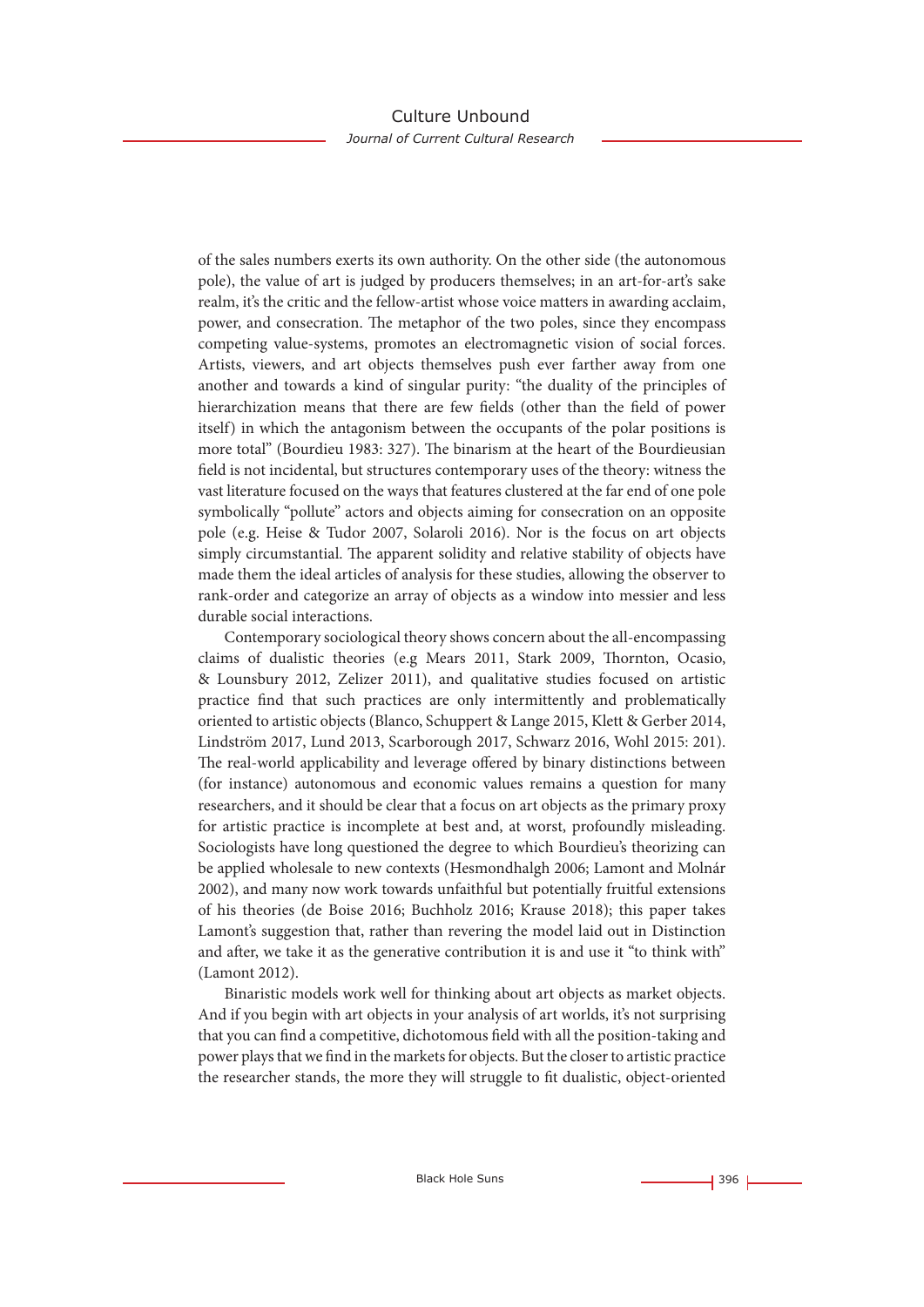of the sales numbers exerts its own authority. On the other side (the autonomous pole), the value of art is judged by producers themselves; in an art-for-art's sake realm, it's the critic and the fellow-artist whose voice matters in awarding acclaim, power, and consecration. The metaphor of the two poles, since they encompass competing value-systems, promotes an electromagnetic vision of social forces. Artists, viewers, and art objects themselves push ever farther away from one another and towards a kind of singular purity: "the duality of the principles of hierarchization means that there are few fields (other than the field of power itself) in which the antagonism between the occupants of the polar positions is more total" (Bourdieu 1983: 327). The binarism at the heart of the Bourdieusian field is not incidental, but structures contemporary uses of the theory: witness the vast literature focused on the ways that features clustered at the far end of one pole symbolically "pollute" actors and objects aiming for consecration on an opposite pole (e.g. Heise & Tudor 2007, Solaroli 2016). Nor is the focus on art objects simply circumstantial. The apparent solidity and relative stability of objects have made them the ideal articles of analysis for these studies, allowing the observer to rank-order and categorize an array of objects as a window into messier and less durable social interactions.

Contemporary sociological theory shows concern about the all-encompassing claims of dualistic theories (e.g Mears 2011, Stark 2009, Thornton, Ocasio, & Lounsbury 2012, Zelizer 2011), and qualitative studies focused on artistic practice find that such practices are only intermittently and problematically oriented to artistic objects (Blanco, Schuppert & Lange 2015, Klett & Gerber 2014, Lindström 2017, Lund 2013, Scarborough 2017, Schwarz 2016, Wohl 2015: 201). The real-world applicability and leverage offered by binary distinctions between (for instance) autonomous and economic values remains a question for many researchers, and it should be clear that a focus on art objects as the primary proxy for artistic practice is incomplete at best and, at worst, profoundly misleading. Sociologists have long questioned the degree to which Bourdieu's theorizing can be applied wholesale to new contexts (Hesmondhalgh 2006; Lamont and Molnár 2002), and many now work towards unfaithful but potentially fruitful extensions of his theories (de Boise 2016; Buchholz 2016; Krause 2018); this paper takes Lamont's suggestion that, rather than revering the model laid out in Distinction and after, we take it as the generative contribution it is and use it "to think with" (Lamont 2012).

Binaristic models work well for thinking about art objects as market objects. And if you begin with art objects in your analysis of art worlds, it's not surprising that you can find a competitive, dichotomous field with all the position-taking and power plays that we find in the markets for objects. But the closer to artistic practice the researcher stands, the more they will struggle to fit dualistic, object-oriented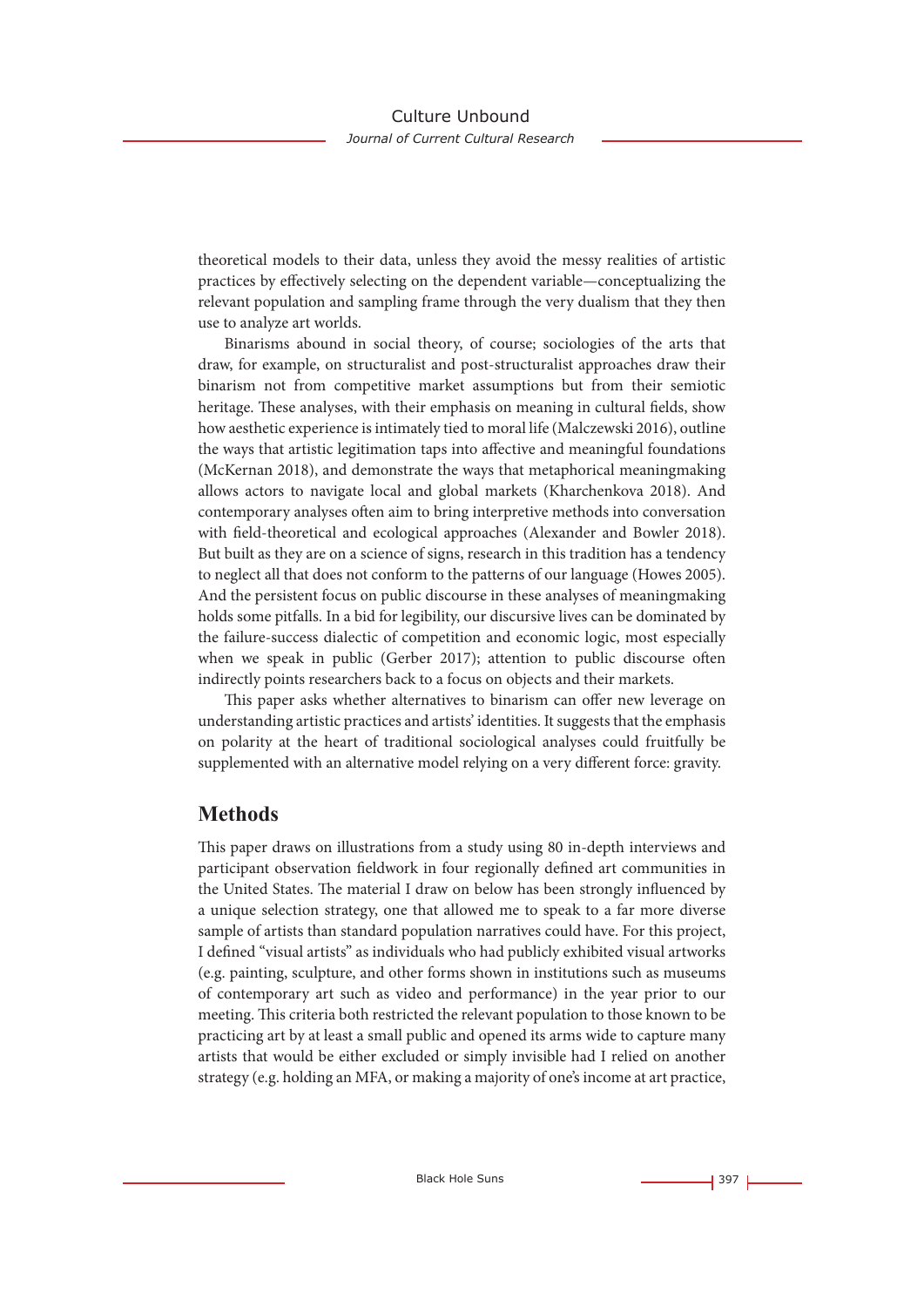theoretical models to their data, unless they avoid the messy realities of artistic practices by effectively selecting on the dependent variable—conceptualizing the relevant population and sampling frame through the very dualism that they then use to analyze art worlds.

Binarisms abound in social theory, of course; sociologies of the arts that draw, for example, on structuralist and post-structuralist approaches draw their binarism not from competitive market assumptions but from their semiotic heritage. These analyses, with their emphasis on meaning in cultural fields, show how aesthetic experience is intimately tied to moral life (Malczewski 2016), outline the ways that artistic legitimation taps into affective and meaningful foundations (McKernan 2018), and demonstrate the ways that metaphorical meaningmaking allows actors to navigate local and global markets (Kharchenkova 2018). And contemporary analyses often aim to bring interpretive methods into conversation with field-theoretical and ecological approaches (Alexander and Bowler 2018). But built as they are on a science of signs, research in this tradition has a tendency to neglect all that does not conform to the patterns of our language (Howes 2005). And the persistent focus on public discourse in these analyses of meaningmaking holds some pitfalls. In a bid for legibility, our discursive lives can be dominated by the failure-success dialectic of competition and economic logic, most especially when we speak in public (Gerber 2017); attention to public discourse often indirectly points researchers back to a focus on objects and their markets.

This paper asks whether alternatives to binarism can offer new leverage on understanding artistic practices and artists' identities. It suggests that the emphasis on polarity at the heart of traditional sociological analyses could fruitfully be supplemented with an alternative model relying on a very different force: gravity.

# **Methods**

This paper draws on illustrations from a study using 80 in-depth interviews and participant observation fieldwork in four regionally defined art communities in the United States. The material I draw on below has been strongly influenced by a unique selection strategy, one that allowed me to speak to a far more diverse sample of artists than standard population narratives could have. For this project, I defined "visual artists" as individuals who had publicly exhibited visual artworks (e.g. painting, sculpture, and other forms shown in institutions such as museums of contemporary art such as video and performance) in the year prior to our meeting. This criteria both restricted the relevant population to those known to be practicing art by at least a small public and opened its arms wide to capture many artists that would be either excluded or simply invisible had I relied on another strategy (e.g. holding an MFA, or making a majority of one's income at art practice,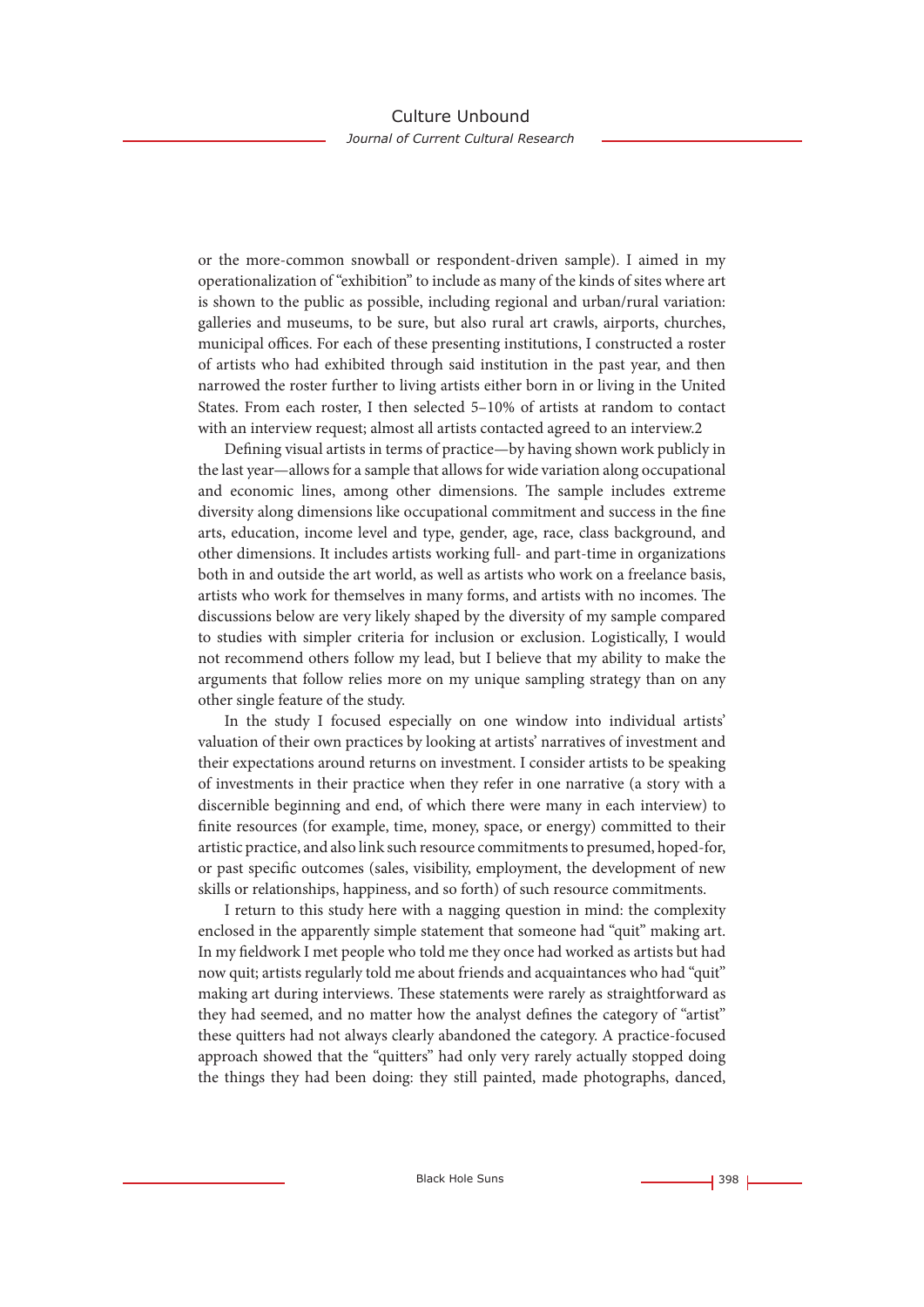or the more-common snowball or respondent-driven sample). I aimed in my operationalization of "exhibition" to include as many of the kinds of sites where art is shown to the public as possible, including regional and urban/rural variation: galleries and museums, to be sure, but also rural art crawls, airports, churches, municipal offices. For each of these presenting institutions, I constructed a roster of artists who had exhibited through said institution in the past year, and then narrowed the roster further to living artists either born in or living in the United States. From each roster, I then selected 5–10% of artists at random to contact with an interview request; almost all artists contacted agreed to an interview.2

Defining visual artists in terms of practice—by having shown work publicly in the last year—allows for a sample that allows for wide variation along occupational and economic lines, among other dimensions. The sample includes extreme diversity along dimensions like occupational commitment and success in the fine arts, education, income level and type, gender, age, race, class background, and other dimensions. It includes artists working full- and part-time in organizations both in and outside the art world, as well as artists who work on a freelance basis, artists who work for themselves in many forms, and artists with no incomes. The discussions below are very likely shaped by the diversity of my sample compared to studies with simpler criteria for inclusion or exclusion. Logistically, I would not recommend others follow my lead, but I believe that my ability to make the arguments that follow relies more on my unique sampling strategy than on any other single feature of the study.

In the study I focused especially on one window into individual artists' valuation of their own practices by looking at artists' narratives of investment and their expectations around returns on investment. I consider artists to be speaking of investments in their practice when they refer in one narrative (a story with a discernible beginning and end, of which there were many in each interview) to finite resources (for example, time, money, space, or energy) committed to their artistic practice, and also link such resource commitments to presumed, hoped-for, or past specific outcomes (sales, visibility, employment, the development of new skills or relationships, happiness, and so forth) of such resource commitments.

I return to this study here with a nagging question in mind: the complexity enclosed in the apparently simple statement that someone had "quit" making art. In my fieldwork I met people who told me they once had worked as artists but had now quit; artists regularly told me about friends and acquaintances who had "quit" making art during interviews. These statements were rarely as straightforward as they had seemed, and no matter how the analyst defines the category of "artist" these quitters had not always clearly abandoned the category. A practice-focused approach showed that the "quitters" had only very rarely actually stopped doing the things they had been doing: they still painted, made photographs, danced,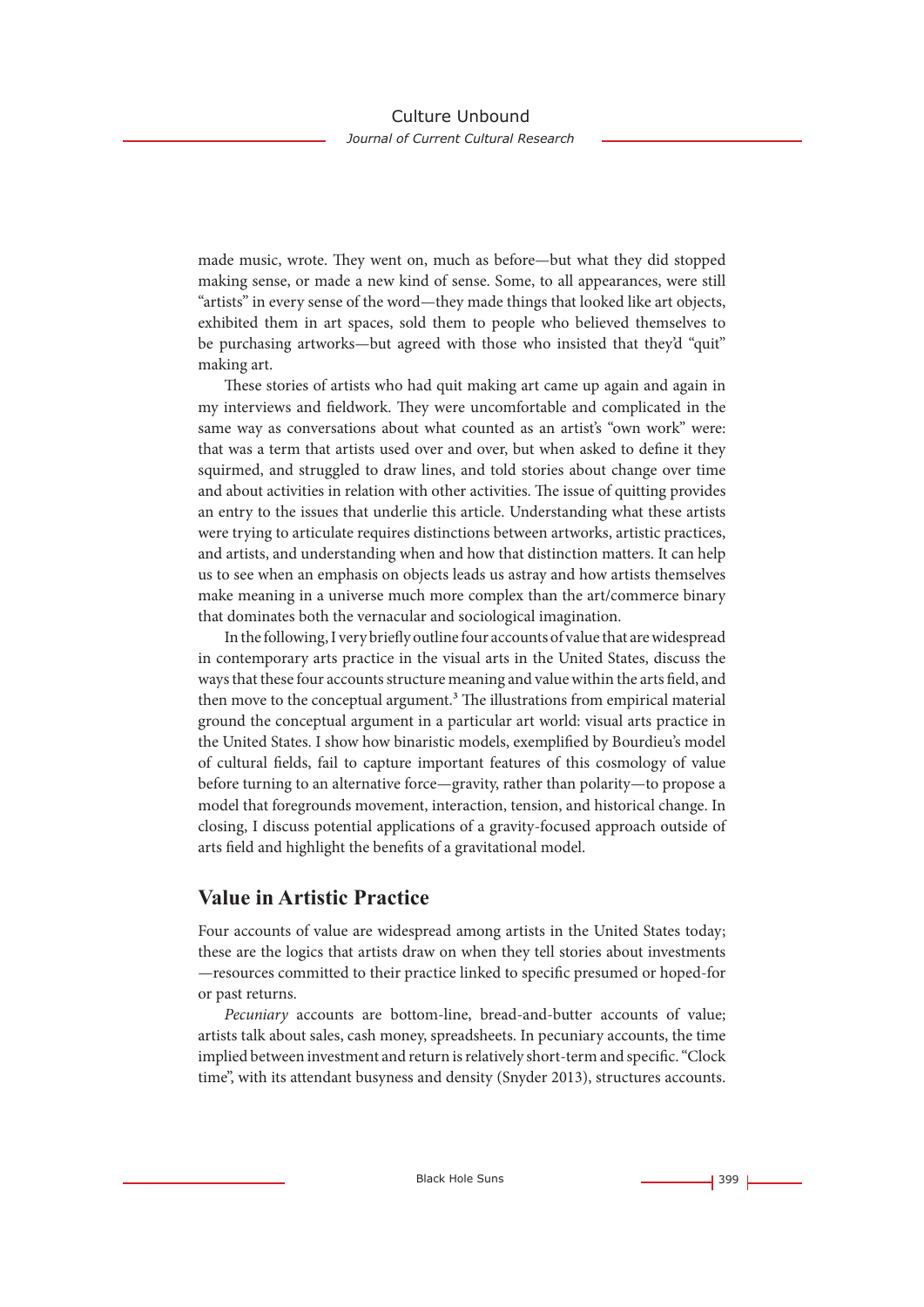made music, wrote. They went on, much as before—but what they did stopped making sense, or made a new kind of sense. Some, to all appearances, were still "artists" in every sense of the word—they made things that looked like art objects, exhibited them in art spaces, sold them to people who believed themselves to be purchasing artworks—but agreed with those who insisted that they'd "quit" making art.

These stories of artists who had quit making art came up again and again in my interviews and fieldwork. They were uncomfortable and complicated in the same way as conversations about what counted as an artist's "own work" were: that was a term that artists used over and over, but when asked to define it they squirmed, and struggled to draw lines, and told stories about change over time and about activities in relation with other activities. The issue of quitting provides an entry to the issues that underlie this article. Understanding what these artists were trying to articulate requires distinctions between artworks, artistic practices, and artists, and understanding when and how that distinction matters. It can help us to see when an emphasis on objects leads us astray and how artists themselves make meaning in a universe much more complex than the art/commerce binary that dominates both the vernacular and sociological imagination.

In the following, I very briefly outline four accounts of value that are widespread in contemporary arts practice in the visual arts in the United States, discuss the ways that these four accounts structure meaning and value within the arts field, and then move to the conceptual argument.3 The illustrations from empirical material ground the conceptual argument in a particular art world: visual arts practice in the United States. I show how binaristic models, exemplified by Bourdieu's model of cultural fields, fail to capture important features of this cosmology of value before turning to an alternative force—gravity, rather than polarity—to propose a model that foregrounds movement, interaction, tension, and historical change. In closing, I discuss potential applications of a gravity-focused approach outside of arts field and highlight the benefits of a gravitational model.

# **Value in Artistic Practice**

Four accounts of value are widespread among artists in the United States today; these are the logics that artists draw on when they tell stories about investments —resources committed to their practice linked to specific presumed or hoped-for or past returns.

*Pecuniary* accounts are bottom-line, bread-and-butter accounts of value; artists talk about sales, cash money, spreadsheets. In pecuniary accounts, the time implied between investment and return is relatively short-term and specific. "Clock time", with its attendant busyness and density (Snyder 2013), structures accounts.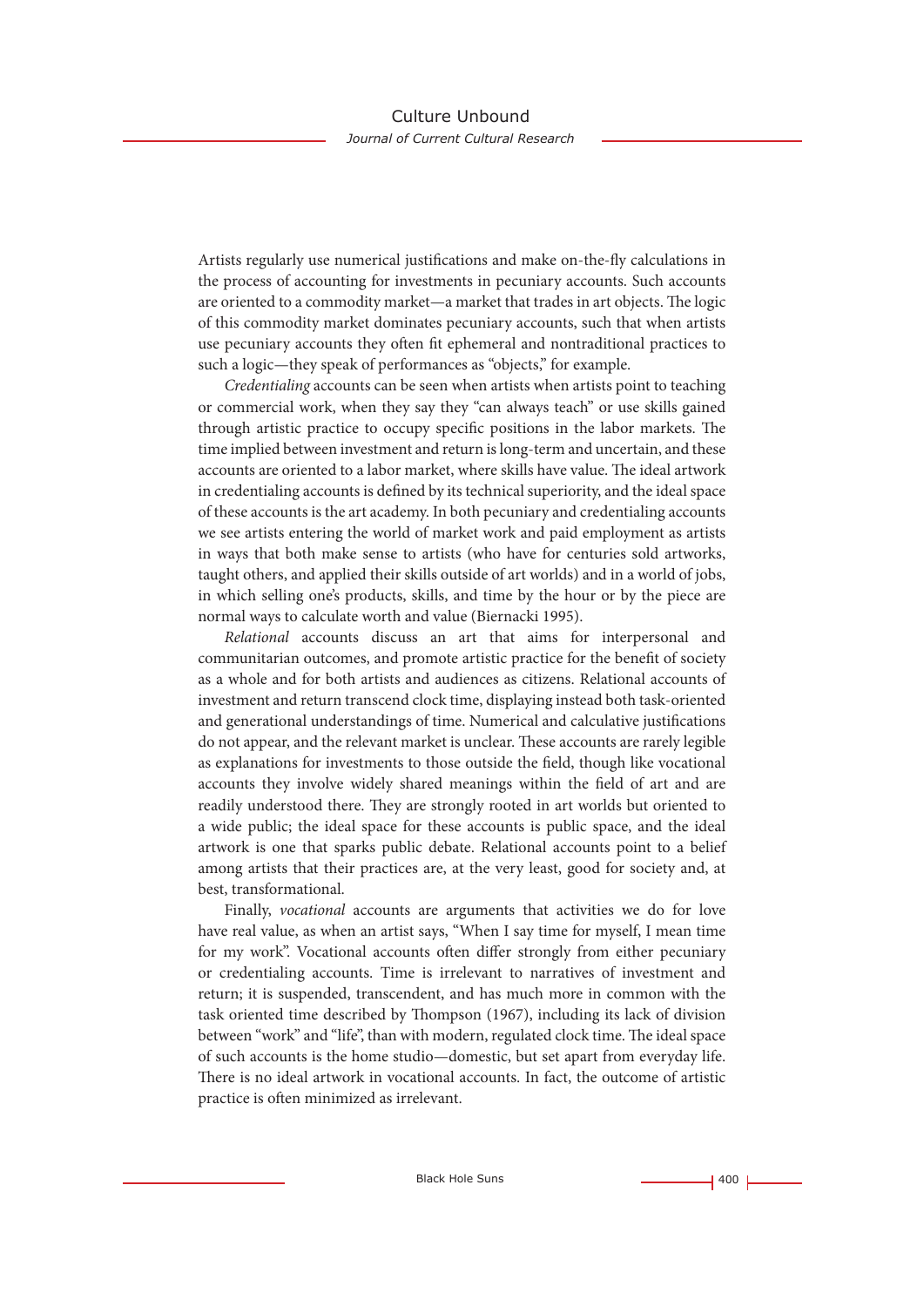Artists regularly use numerical justifications and make on-the-fly calculations in the process of accounting for investments in pecuniary accounts. Such accounts are oriented to a commodity market—a market that trades in art objects. The logic of this commodity market dominates pecuniary accounts, such that when artists use pecuniary accounts they often fit ephemeral and nontraditional practices to such a logic—they speak of performances as "objects," for example.

*Credentialing* accounts can be seen when artists when artists point to teaching or commercial work, when they say they "can always teach" or use skills gained through artistic practice to occupy specific positions in the labor markets. The time implied between investment and return is long-term and uncertain, and these accounts are oriented to a labor market, where skills have value. The ideal artwork in credentialing accounts is defined by its technical superiority, and the ideal space of these accounts is the art academy. In both pecuniary and credentialing accounts we see artists entering the world of market work and paid employment as artists in ways that both make sense to artists (who have for centuries sold artworks, taught others, and applied their skills outside of art worlds) and in a world of jobs, in which selling one's products, skills, and time by the hour or by the piece are normal ways to calculate worth and value (Biernacki 1995).

*Relational* accounts discuss an art that aims for interpersonal and communitarian outcomes, and promote artistic practice for the benefit of society as a whole and for both artists and audiences as citizens. Relational accounts of investment and return transcend clock time, displaying instead both task-oriented and generational understandings of time. Numerical and calculative justifications do not appear, and the relevant market is unclear. These accounts are rarely legible as explanations for investments to those outside the field, though like vocational accounts they involve widely shared meanings within the field of art and are readily understood there. They are strongly rooted in art worlds but oriented to a wide public; the ideal space for these accounts is public space, and the ideal artwork is one that sparks public debate. Relational accounts point to a belief among artists that their practices are, at the very least, good for society and, at best, transformational.

Finally, *vocational* accounts are arguments that activities we do for love have real value, as when an artist says, "When I say time for myself, I mean time for my work". Vocational accounts often differ strongly from either pecuniary or credentialing accounts. Time is irrelevant to narratives of investment and return; it is suspended, transcendent, and has much more in common with the task oriented time described by Thompson (1967), including its lack of division between "work" and "life", than with modern, regulated clock time. The ideal space of such accounts is the home studio—domestic, but set apart from everyday life. There is no ideal artwork in vocational accounts. In fact, the outcome of artistic practice is often minimized as irrelevant.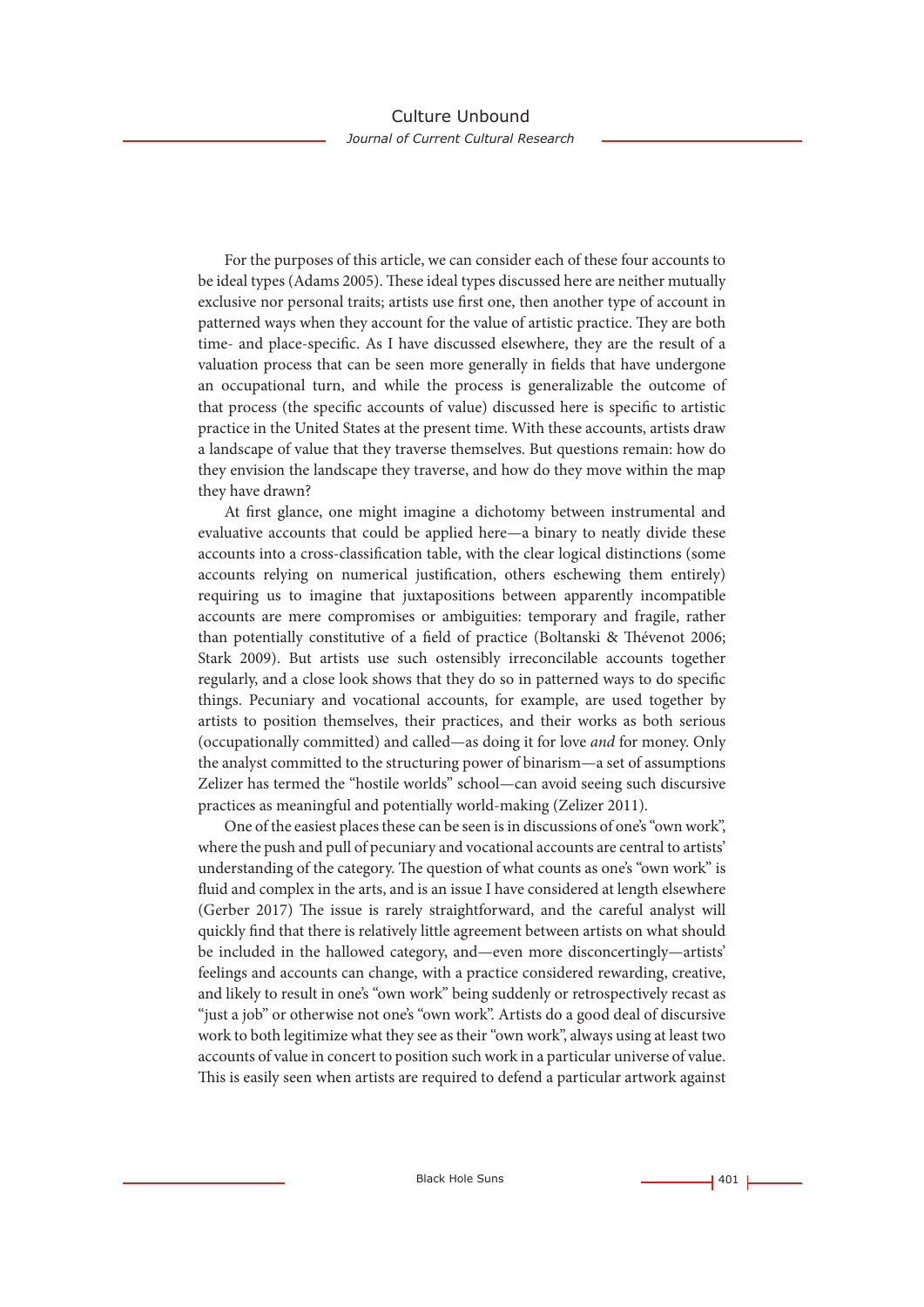For the purposes of this article, we can consider each of these four accounts to be ideal types (Adams 2005). These ideal types discussed here are neither mutually exclusive nor personal traits; artists use first one, then another type of account in patterned ways when they account for the value of artistic practice. They are both time- and place-specific. As I have discussed elsewhere, they are the result of a valuation process that can be seen more generally in fields that have undergone an occupational turn, and while the process is generalizable the outcome of that process (the specific accounts of value) discussed here is specific to artistic practice in the United States at the present time. With these accounts, artists draw a landscape of value that they traverse themselves. But questions remain: how do they envision the landscape they traverse, and how do they move within the map they have drawn?

At first glance, one might imagine a dichotomy between instrumental and evaluative accounts that could be applied here—a binary to neatly divide these accounts into a cross-classification table, with the clear logical distinctions (some accounts relying on numerical justification, others eschewing them entirely) requiring us to imagine that juxtapositions between apparently incompatible accounts are mere compromises or ambiguities: temporary and fragile, rather than potentially constitutive of a field of practice (Boltanski & Thévenot 2006; Stark 2009). But artists use such ostensibly irreconcilable accounts together regularly, and a close look shows that they do so in patterned ways to do specific things. Pecuniary and vocational accounts, for example, are used together by artists to position themselves, their practices, and their works as both serious (occupationally committed) and called—as doing it for love *and* for money. Only the analyst committed to the structuring power of binarism—a set of assumptions Zelizer has termed the "hostile worlds" school—can avoid seeing such discursive practices as meaningful and potentially world-making (Zelizer 2011).

One of the easiest places these can be seen is in discussions of one's "own work", where the push and pull of pecuniary and vocational accounts are central to artists' understanding of the category. The question of what counts as one's "own work" is fluid and complex in the arts, and is an issue I have considered at length elsewhere (Gerber 2017) The issue is rarely straightforward, and the careful analyst will quickly find that there is relatively little agreement between artists on what should be included in the hallowed category, and—even more disconcertingly—artists' feelings and accounts can change, with a practice considered rewarding, creative, and likely to result in one's "own work" being suddenly or retrospectively recast as "just a job" or otherwise not one's "own work". Artists do a good deal of discursive work to both legitimize what they see as their "own work", always using at least two accounts of value in concert to position such work in a particular universe of value. This is easily seen when artists are required to defend a particular artwork against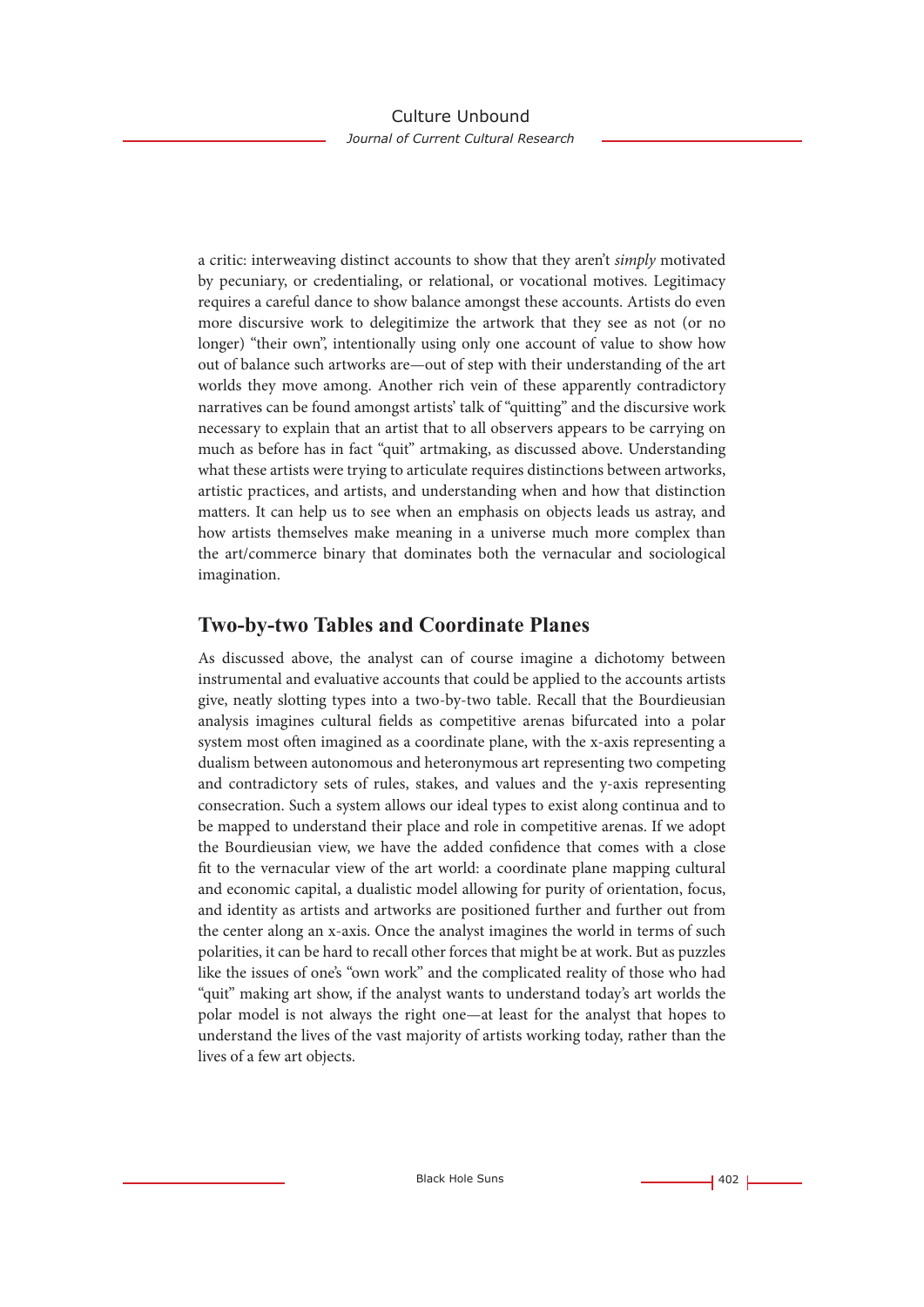a critic: interweaving distinct accounts to show that they aren't *simply* motivated by pecuniary, or credentialing, or relational, or vocational motives. Legitimacy requires a careful dance to show balance amongst these accounts. Artists do even more discursive work to delegitimize the artwork that they see as not (or no longer) "their own", intentionally using only one account of value to show how out of balance such artworks are—out of step with their understanding of the art worlds they move among. Another rich vein of these apparently contradictory narratives can be found amongst artists' talk of "quitting" and the discursive work necessary to explain that an artist that to all observers appears to be carrying on much as before has in fact "quit" artmaking, as discussed above. Understanding what these artists were trying to articulate requires distinctions between artworks, artistic practices, and artists, and understanding when and how that distinction matters. It can help us to see when an emphasis on objects leads us astray, and how artists themselves make meaning in a universe much more complex than the art/commerce binary that dominates both the vernacular and sociological imagination.

# **Two-by-two Tables and Coordinate Planes**

As discussed above, the analyst can of course imagine a dichotomy between instrumental and evaluative accounts that could be applied to the accounts artists give, neatly slotting types into a two-by-two table. Recall that the Bourdieusian analysis imagines cultural fields as competitive arenas bifurcated into a polar system most often imagined as a coordinate plane, with the x-axis representing a dualism between autonomous and heteronymous art representing two competing and contradictory sets of rules, stakes, and values and the y-axis representing consecration. Such a system allows our ideal types to exist along continua and to be mapped to understand their place and role in competitive arenas. If we adopt the Bourdieusian view, we have the added confidence that comes with a close fit to the vernacular view of the art world: a coordinate plane mapping cultural and economic capital, a dualistic model allowing for purity of orientation, focus, and identity as artists and artworks are positioned further and further out from the center along an x-axis. Once the analyst imagines the world in terms of such polarities, it can be hard to recall other forces that might be at work. But as puzzles like the issues of one's "own work" and the complicated reality of those who had "quit" making art show, if the analyst wants to understand today's art worlds the polar model is not always the right one—at least for the analyst that hopes to understand the lives of the vast majority of artists working today, rather than the lives of a few art objects.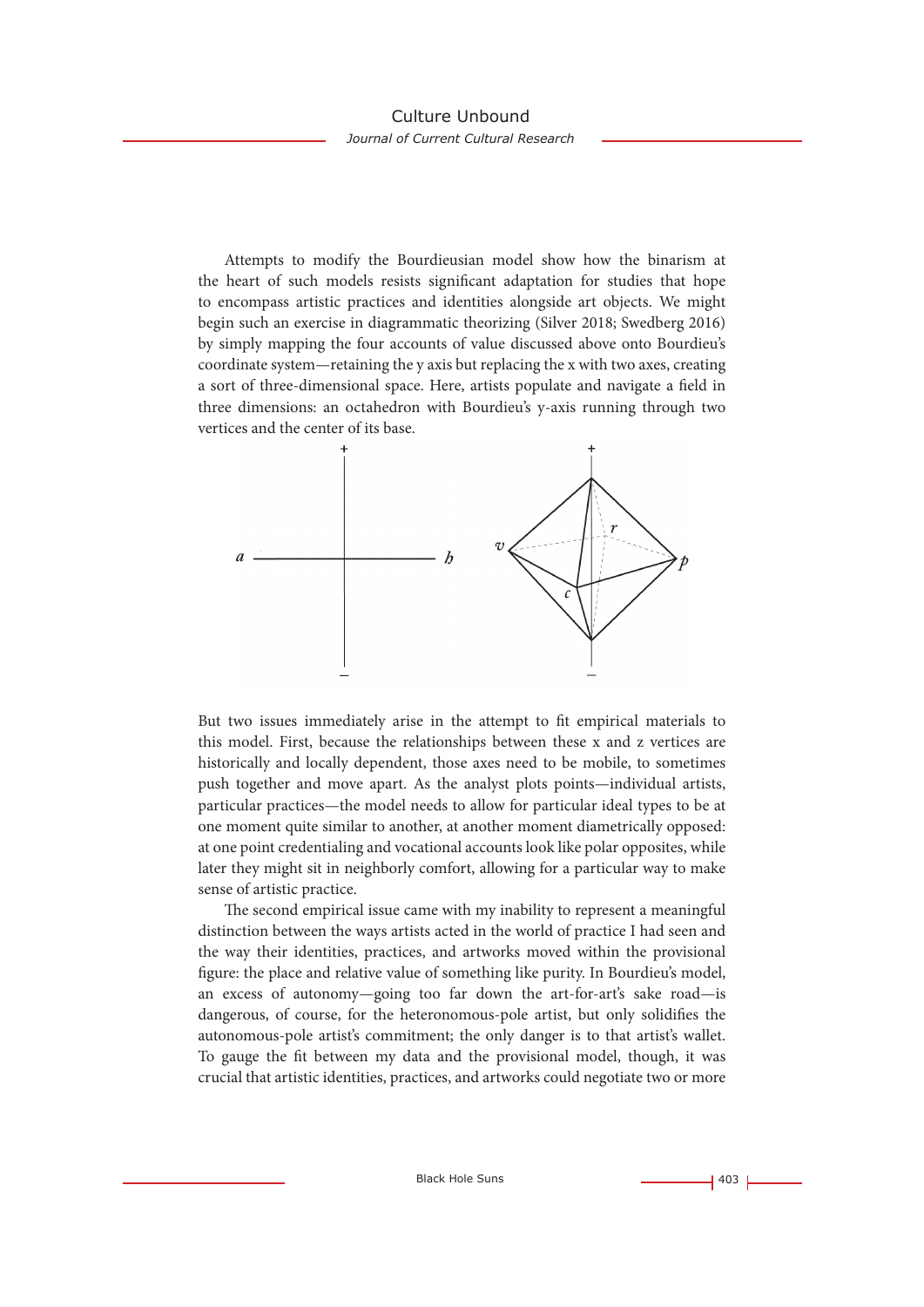Attempts to modify the Bourdieusian model show how the binarism at the heart of such models resists significant adaptation for studies that hope to encompass artistic practices and identities alongside art objects. We might begin such an exercise in diagrammatic theorizing (Silver 2018; Swedberg 2016) by simply mapping the four accounts of value discussed above onto Bourdieu's coordinate system—retaining the y axis but replacing the x with two axes, creating a sort of three-dimensional space. Here, artists populate and navigate a field in three dimensions: an octahedron with Bourdieu's y-axis running through two vertices and the center of its base.



But two issues immediately arise in the attempt to fit empirical materials to this model. First, because the relationships between these x and z vertices are historically and locally dependent, those axes need to be mobile, to sometimes push together and move apart. As the analyst plots points—individual artists, particular practices—the model needs to allow for particular ideal types to be at one moment quite similar to another, at another moment diametrically opposed: at one point credentialing and vocational accounts look like polar opposites, while later they might sit in neighborly comfort, allowing for a particular way to make sense of artistic practice.

The second empirical issue came with my inability to represent a meaningful distinction between the ways artists acted in the world of practice I had seen and the way their identities, practices, and artworks moved within the provisional figure: the place and relative value of something like purity. In Bourdieu's model, an excess of autonomy—going too far down the art-for-art's sake road—is dangerous, of course, for the heteronomous-pole artist, but only solidifies the autonomous-pole artist's commitment; the only danger is to that artist's wallet. To gauge the fit between my data and the provisional model, though, it was crucial that artistic identities, practices, and artworks could negotiate two or more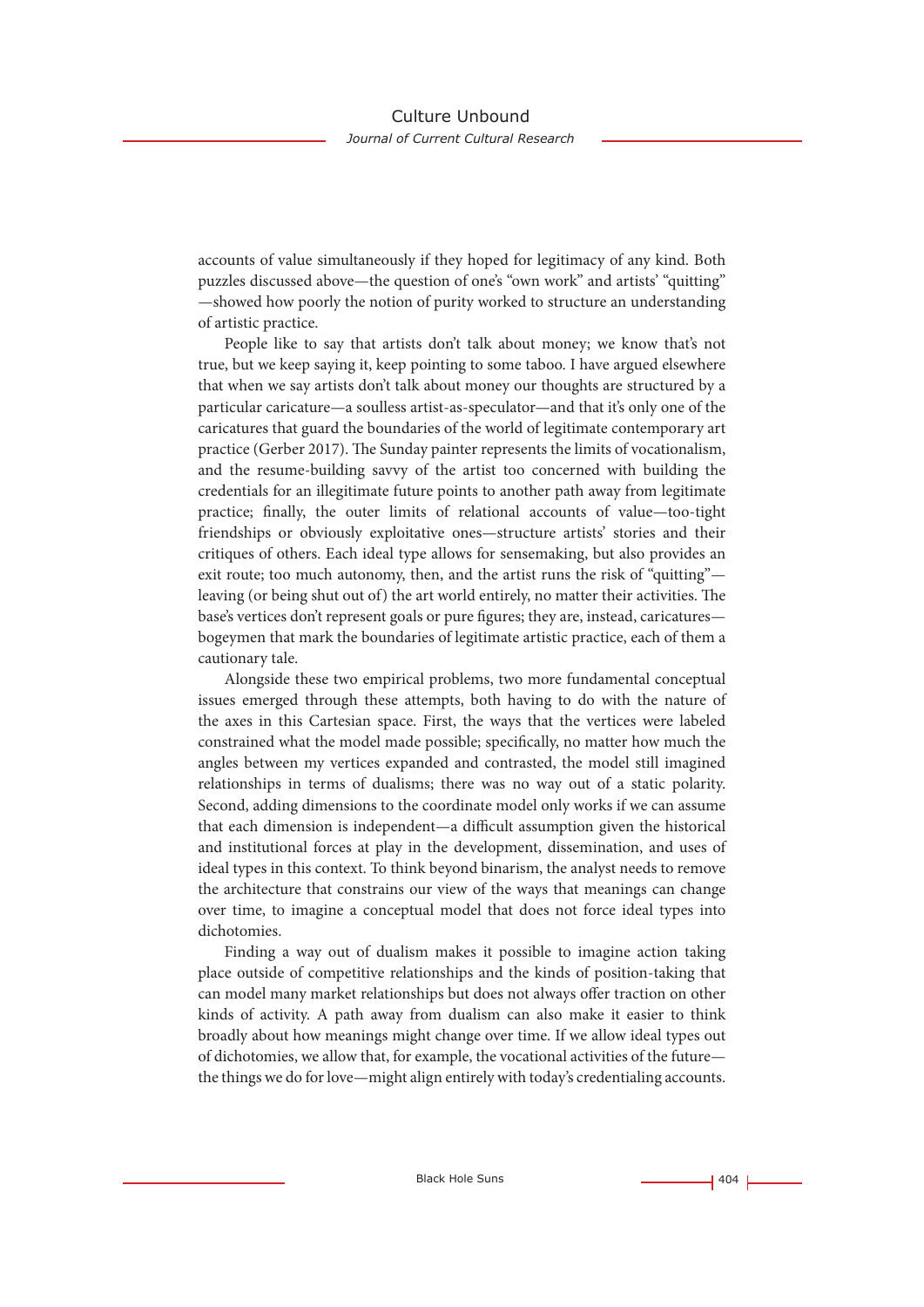accounts of value simultaneously if they hoped for legitimacy of any kind. Both puzzles discussed above—the question of one's "own work" and artists' "quitting" —showed how poorly the notion of purity worked to structure an understanding of artistic practice.

People like to say that artists don't talk about money; we know that's not true, but we keep saying it, keep pointing to some taboo. I have argued elsewhere that when we say artists don't talk about money our thoughts are structured by a particular caricature—a soulless artist-as-speculator—and that it's only one of the caricatures that guard the boundaries of the world of legitimate contemporary art practice (Gerber 2017). The Sunday painter represents the limits of vocationalism, and the resume-building savvy of the artist too concerned with building the credentials for an illegitimate future points to another path away from legitimate practice; finally, the outer limits of relational accounts of value—too-tight friendships or obviously exploitative ones—structure artists' stories and their critiques of others. Each ideal type allows for sensemaking, but also provides an exit route; too much autonomy, then, and the artist runs the risk of "quitting" leaving (or being shut out of) the art world entirely, no matter their activities. The base's vertices don't represent goals or pure figures; they are, instead, caricatures bogeymen that mark the boundaries of legitimate artistic practice, each of them a cautionary tale.

Alongside these two empirical problems, two more fundamental conceptual issues emerged through these attempts, both having to do with the nature of the axes in this Cartesian space. First, the ways that the vertices were labeled constrained what the model made possible; specifically, no matter how much the angles between my vertices expanded and contrasted, the model still imagined relationships in terms of dualisms; there was no way out of a static polarity. Second, adding dimensions to the coordinate model only works if we can assume that each dimension is independent—a difficult assumption given the historical and institutional forces at play in the development, dissemination, and uses of ideal types in this context. To think beyond binarism, the analyst needs to remove the architecture that constrains our view of the ways that meanings can change over time, to imagine a conceptual model that does not force ideal types into dichotomies.

Finding a way out of dualism makes it possible to imagine action taking place outside of competitive relationships and the kinds of position-taking that can model many market relationships but does not always offer traction on other kinds of activity. A path away from dualism can also make it easier to think broadly about how meanings might change over time. If we allow ideal types out of dichotomies, we allow that, for example, the vocational activities of the future the things we do for love—might align entirely with today's credentialing accounts.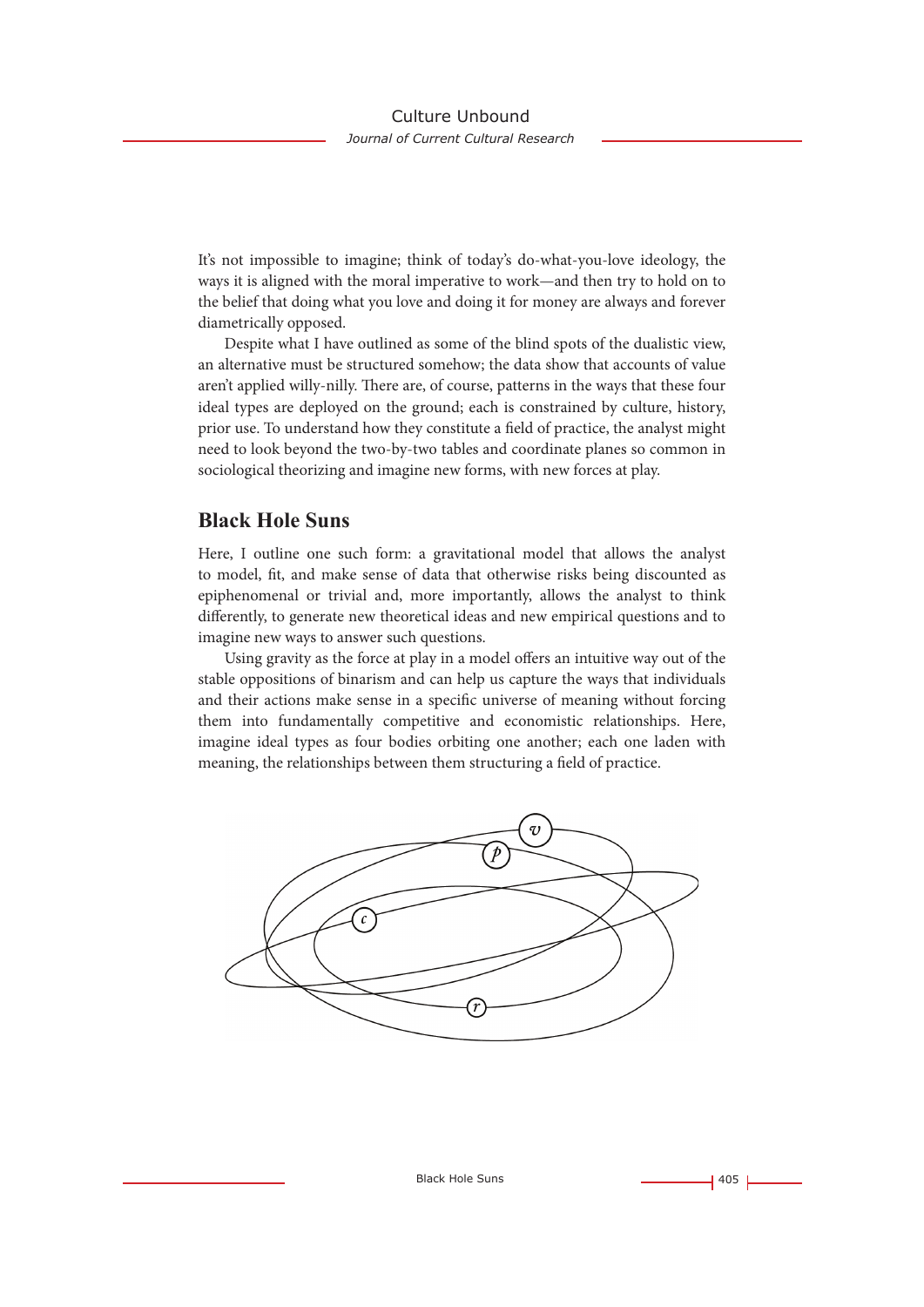It's not impossible to imagine; think of today's do-what-you-love ideology, the ways it is aligned with the moral imperative to work—and then try to hold on to the belief that doing what you love and doing it for money are always and forever diametrically opposed.

Despite what I have outlined as some of the blind spots of the dualistic view, an alternative must be structured somehow; the data show that accounts of value aren't applied willy-nilly. There are, of course, patterns in the ways that these four ideal types are deployed on the ground; each is constrained by culture, history, prior use. To understand how they constitute a field of practice, the analyst might need to look beyond the two-by-two tables and coordinate planes so common in sociological theorizing and imagine new forms, with new forces at play.

### **Black Hole Suns**

Here, I outline one such form: a gravitational model that allows the analyst to model, fit, and make sense of data that otherwise risks being discounted as epiphenomenal or trivial and, more importantly, allows the analyst to think differently, to generate new theoretical ideas and new empirical questions and to imagine new ways to answer such questions.

Using gravity as the force at play in a model offers an intuitive way out of the stable oppositions of binarism and can help us capture the ways that individuals and their actions make sense in a specific universe of meaning without forcing them into fundamentally competitive and economistic relationships. Here, imagine ideal types as four bodies orbiting one another; each one laden with meaning, the relationships between them structuring a field of practice.

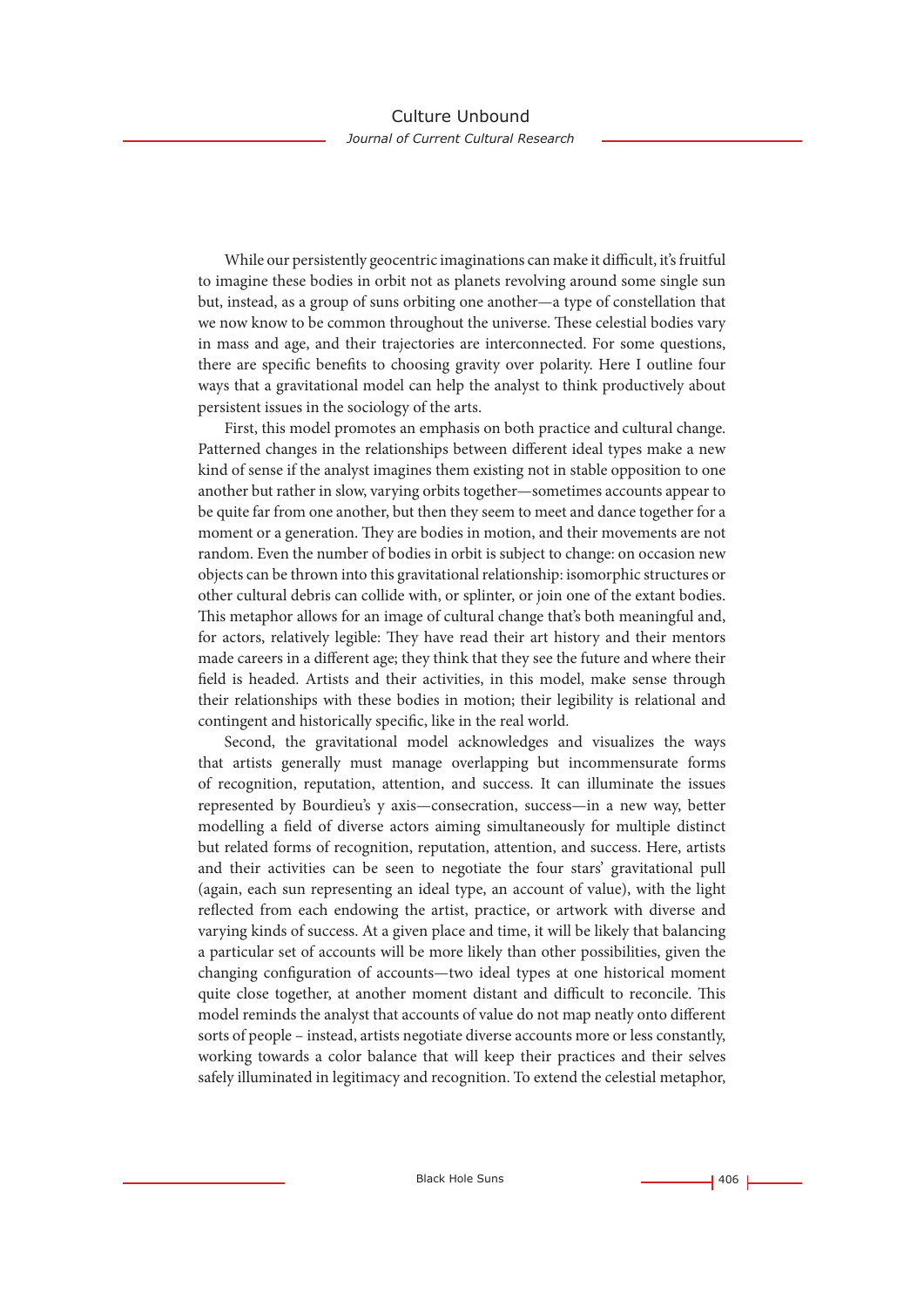While our persistently geocentric imaginations can make it difficult, it's fruitful to imagine these bodies in orbit not as planets revolving around some single sun but, instead, as a group of suns orbiting one another—a type of constellation that we now know to be common throughout the universe. These celestial bodies vary in mass and age, and their trajectories are interconnected. For some questions, there are specific benefits to choosing gravity over polarity. Here I outline four ways that a gravitational model can help the analyst to think productively about persistent issues in the sociology of the arts.

First, this model promotes an emphasis on both practice and cultural change. Patterned changes in the relationships between different ideal types make a new kind of sense if the analyst imagines them existing not in stable opposition to one another but rather in slow, varying orbits together—sometimes accounts appear to be quite far from one another, but then they seem to meet and dance together for a moment or a generation. They are bodies in motion, and their movements are not random. Even the number of bodies in orbit is subject to change: on occasion new objects can be thrown into this gravitational relationship: isomorphic structures or other cultural debris can collide with, or splinter, or join one of the extant bodies. This metaphor allows for an image of cultural change that's both meaningful and, for actors, relatively legible: They have read their art history and their mentors made careers in a different age; they think that they see the future and where their field is headed. Artists and their activities, in this model, make sense through their relationships with these bodies in motion; their legibility is relational and contingent and historically specific, like in the real world.

Second, the gravitational model acknowledges and visualizes the ways that artists generally must manage overlapping but incommensurate forms of recognition, reputation, attention, and success. It can illuminate the issues represented by Bourdieu's y axis—consecration, success—in a new way, better modelling a field of diverse actors aiming simultaneously for multiple distinct but related forms of recognition, reputation, attention, and success. Here, artists and their activities can be seen to negotiate the four stars' gravitational pull (again, each sun representing an ideal type, an account of value), with the light reflected from each endowing the artist, practice, or artwork with diverse and varying kinds of success. At a given place and time, it will be likely that balancing a particular set of accounts will be more likely than other possibilities, given the changing configuration of accounts—two ideal types at one historical moment quite close together, at another moment distant and difficult to reconcile. This model reminds the analyst that accounts of value do not map neatly onto different sorts of people – instead, artists negotiate diverse accounts more or less constantly, working towards a color balance that will keep their practices and their selves safely illuminated in legitimacy and recognition. To extend the celestial metaphor,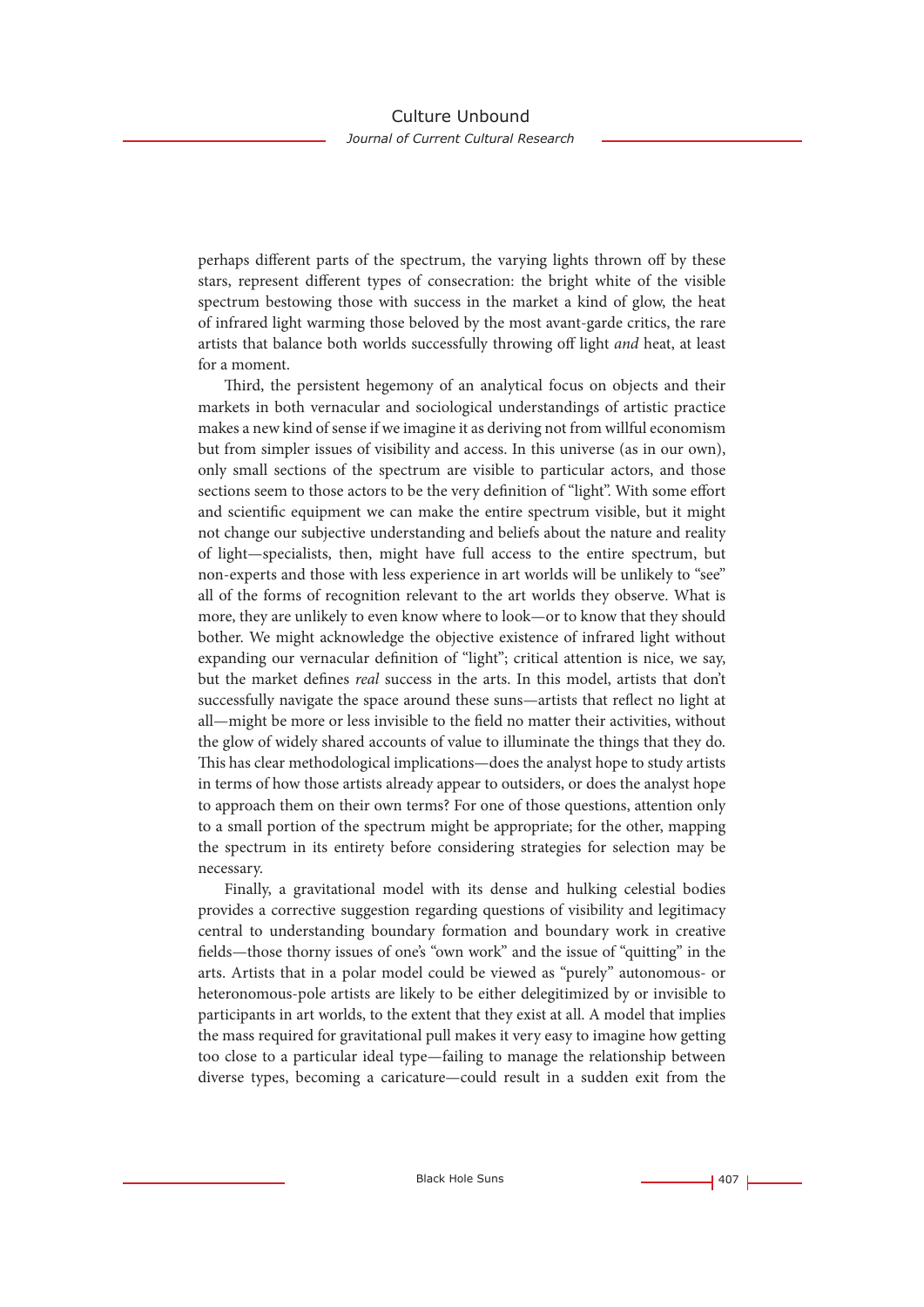perhaps different parts of the spectrum, the varying lights thrown off by these stars, represent different types of consecration: the bright white of the visible spectrum bestowing those with success in the market a kind of glow, the heat of infrared light warming those beloved by the most avant-garde critics, the rare artists that balance both worlds successfully throwing off light *and* heat, at least for a moment.

Third, the persistent hegemony of an analytical focus on objects and their markets in both vernacular and sociological understandings of artistic practice makes a new kind of sense if we imagine it as deriving not from willful economism but from simpler issues of visibility and access. In this universe (as in our own), only small sections of the spectrum are visible to particular actors, and those sections seem to those actors to be the very definition of "light". With some effort and scientific equipment we can make the entire spectrum visible, but it might not change our subjective understanding and beliefs about the nature and reality of light—specialists, then, might have full access to the entire spectrum, but non-experts and those with less experience in art worlds will be unlikely to "see" all of the forms of recognition relevant to the art worlds they observe. What is more, they are unlikely to even know where to look—or to know that they should bother. We might acknowledge the objective existence of infrared light without expanding our vernacular definition of "light"; critical attention is nice, we say, but the market defines *real* success in the arts. In this model, artists that don't successfully navigate the space around these suns—artists that reflect no light at all—might be more or less invisible to the field no matter their activities, without the glow of widely shared accounts of value to illuminate the things that they do. This has clear methodological implications—does the analyst hope to study artists in terms of how those artists already appear to outsiders, or does the analyst hope to approach them on their own terms? For one of those questions, attention only to a small portion of the spectrum might be appropriate; for the other, mapping the spectrum in its entirety before considering strategies for selection may be necessary.

Finally, a gravitational model with its dense and hulking celestial bodies provides a corrective suggestion regarding questions of visibility and legitimacy central to understanding boundary formation and boundary work in creative fields—those thorny issues of one's "own work" and the issue of "quitting" in the arts. Artists that in a polar model could be viewed as "purely" autonomous- or heteronomous-pole artists are likely to be either delegitimized by or invisible to participants in art worlds, to the extent that they exist at all. A model that implies the mass required for gravitational pull makes it very easy to imagine how getting too close to a particular ideal type—failing to manage the relationship between diverse types, becoming a caricature—could result in a sudden exit from the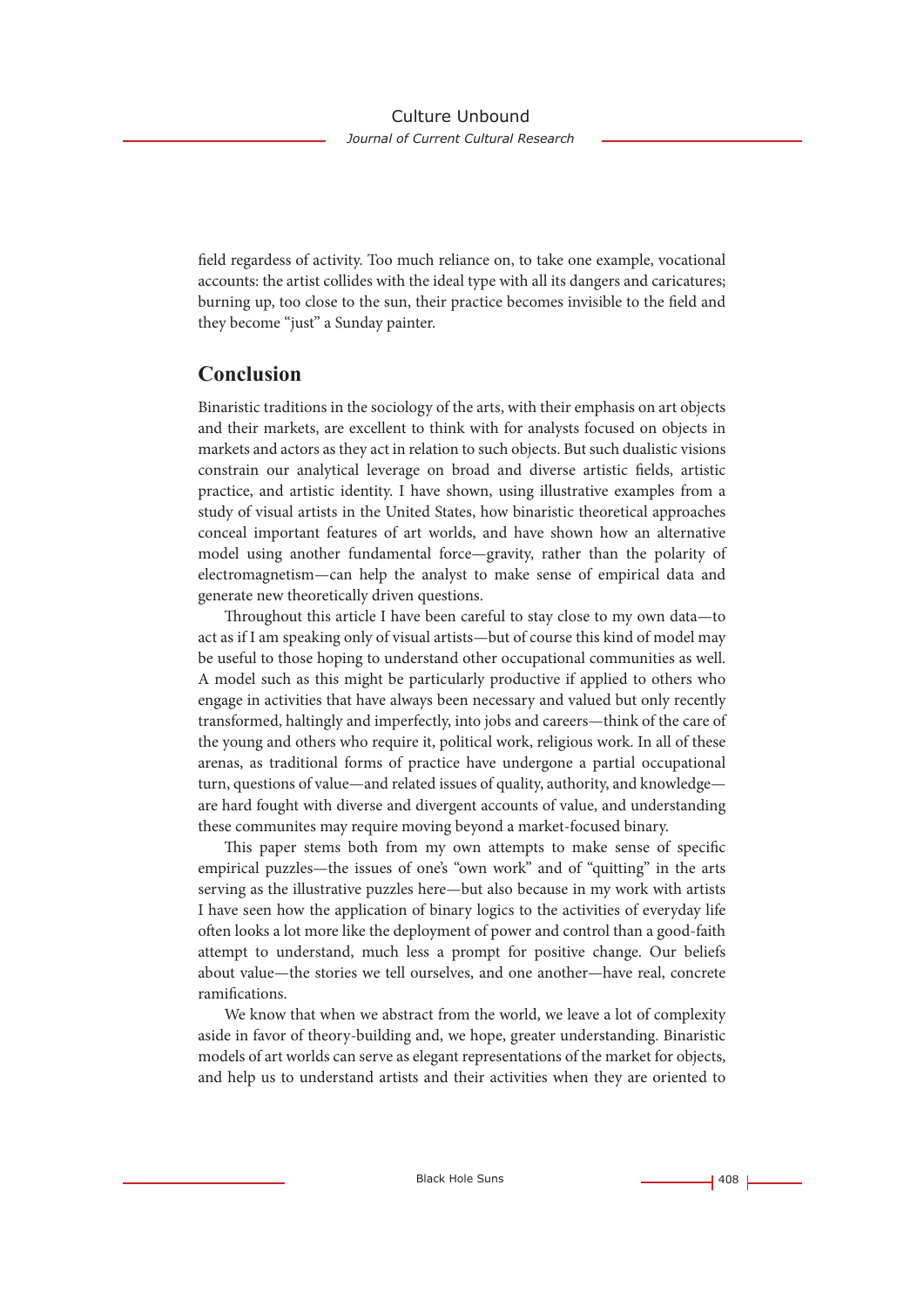field regardess of activity. Too much reliance on, to take one example, vocational accounts: the artist collides with the ideal type with all its dangers and caricatures; burning up, too close to the sun, their practice becomes invisible to the field and they become "just" a Sunday painter.

### **Conclusion**

Binaristic traditions in the sociology of the arts, with their emphasis on art objects and their markets, are excellent to think with for analysts focused on objects in markets and actors as they act in relation to such objects. But such dualistic visions constrain our analytical leverage on broad and diverse artistic fields, artistic practice, and artistic identity. I have shown, using illustrative examples from a study of visual artists in the United States, how binaristic theoretical approaches conceal important features of art worlds, and have shown how an alternative model using another fundamental force—gravity, rather than the polarity of electromagnetism—can help the analyst to make sense of empirical data and generate new theoretically driven questions.

Throughout this article I have been careful to stay close to my own data—to act as if I am speaking only of visual artists—but of course this kind of model may be useful to those hoping to understand other occupational communities as well. A model such as this might be particularly productive if applied to others who engage in activities that have always been necessary and valued but only recently transformed, haltingly and imperfectly, into jobs and careers—think of the care of the young and others who require it, political work, religious work. In all of these arenas, as traditional forms of practice have undergone a partial occupational turn, questions of value—and related issues of quality, authority, and knowledge are hard fought with diverse and divergent accounts of value, and understanding these communites may require moving beyond a market-focused binary.

This paper stems both from my own attempts to make sense of specific empirical puzzles—the issues of one's "own work" and of "quitting" in the arts serving as the illustrative puzzles here—but also because in my work with artists I have seen how the application of binary logics to the activities of everyday life often looks a lot more like the deployment of power and control than a good-faith attempt to understand, much less a prompt for positive change. Our beliefs about value—the stories we tell ourselves, and one another—have real, concrete ramifications.

We know that when we abstract from the world, we leave a lot of complexity aside in favor of theory-building and, we hope, greater understanding. Binaristic models of art worlds can serve as elegant representations of the market for objects, and help us to understand artists and their activities when they are oriented to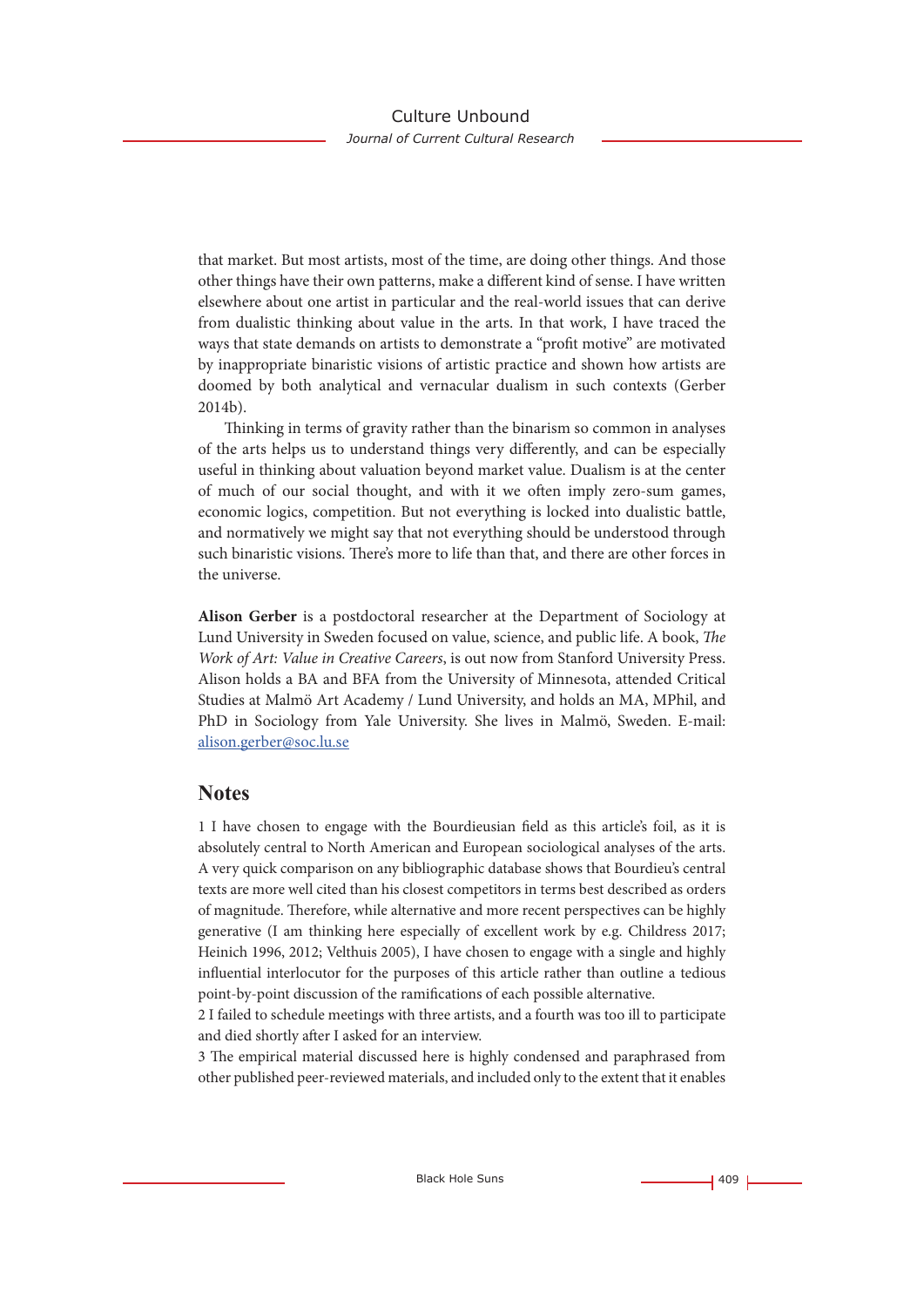that market. But most artists, most of the time, are doing other things. And those other things have their own patterns, make a different kind of sense. I have written elsewhere about one artist in particular and the real-world issues that can derive from dualistic thinking about value in the arts. In that work, I have traced the ways that state demands on artists to demonstrate a "profit motive" are motivated by inappropriate binaristic visions of artistic practice and shown how artists are doomed by both analytical and vernacular dualism in such contexts (Gerber 2014b).

Thinking in terms of gravity rather than the binarism so common in analyses of the arts helps us to understand things very differently, and can be especially useful in thinking about valuation beyond market value. Dualism is at the center of much of our social thought, and with it we often imply zero-sum games, economic logics, competition. But not everything is locked into dualistic battle, and normatively we might say that not everything should be understood through such binaristic visions. There's more to life than that, and there are other forces in the universe.

**Alison Gerber** is a postdoctoral researcher at the Department of Sociology at Lund University in Sweden focused on value, science, and public life. A book, *The Work of Art: Value in Creative Careers*, is out now from Stanford University Press. Alison holds a BA and BFA from the University of Minnesota, attended Critical Studies at Malmö Art Academy / Lund University, and holds an MA, MPhil, and PhD in Sociology from Yale University. She lives in Malmö, Sweden. E-mail: alison.gerber@soc.lu.se

### **Notes**

1 I have chosen to engage with the Bourdieusian field as this article's foil, as it is absolutely central to North American and European sociological analyses of the arts. A very quick comparison on any bibliographic database shows that Bourdieu's central texts are more well cited than his closest competitors in terms best described as orders of magnitude. Therefore, while alternative and more recent perspectives can be highly generative (I am thinking here especially of excellent work by e.g. Childress 2017; Heinich 1996, 2012; Velthuis 2005), I have chosen to engage with a single and highly influential interlocutor for the purposes of this article rather than outline a tedious point-by-point discussion of the ramifications of each possible alternative.

2 I failed to schedule meetings with three artists, and a fourth was too ill to participate and died shortly after I asked for an interview.

3 The empirical material discussed here is highly condensed and paraphrased from other published peer-reviewed materials, and included only to the extent that it enables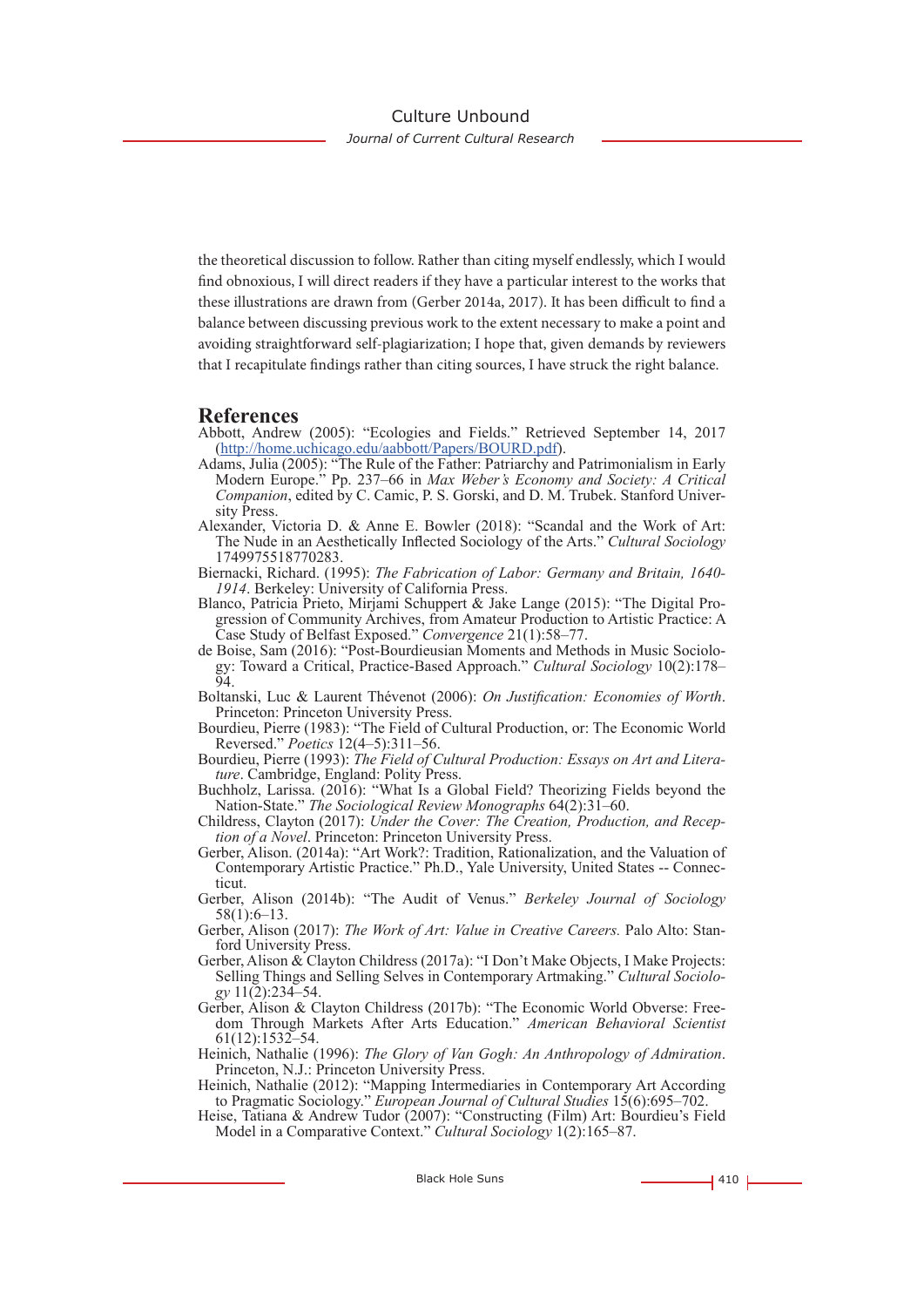the theoretical discussion to follow. Rather than citing myself endlessly, which I would find obnoxious, I will direct readers if they have a particular interest to the works that these illustrations are drawn from (Gerber 2014a, 2017). It has been difficult to find a balance between discussing previous work to the extent necessary to make a point and avoiding straightforward self-plagiarization; I hope that, given demands by reviewers that I recapitulate findings rather than citing sources, I have struck the right balance.

#### **References**

- Abbott, Andrew (2005): "Ecologies and Fields." Retrieved September 14, 2017 (http://home.uchicago.edu/aabbott/Papers/BOURD.pdf).
- Adams, Julia (2005): "The Rule of the Father: Patriarchy and Patrimonialism in Early Modern Europe." Pp. 237–66 in *Max Weber's Economy and Society: A Critical Companion*, edited by C. Camic, P. S. Gorski, and D. M. Trubek. Stanford University Press.
- Alexander, Victoria D. & Anne E. Bowler (2018): "Scandal and the Work of Art: The Nude in an Aesthetically Inflected Sociology of the Arts." *Cultural Sociology* 1749975518770283.
- Biernacki, Richard. (1995): *The Fabrication of Labor: Germany and Britain, 1640- 1914*. Berkeley: University of California Press.
- Blanco, Patricia Prieto, Mirjami Schuppert & Jake Lange (2015): "The Digital Progression of Community Archives, from Amateur Production to Artistic Practice: A Case Study of Belfast Exposed." *Convergence* 21(1):58–77.
- de Boise, Sam (2016): "Post-Bourdieusian Moments and Methods in Music Sociology: Toward a Critical, Practice-Based Approach." *Cultural Sociology* 10(2):178– 94.
- Boltanski, Luc & Laurent Thévenot (2006): *On Justification: Economies of Worth*. Princeton: Princeton University Press.
- Bourdieu, Pierre (1983): "The Field of Cultural Production, or: The Economic World Reversed." *Poetics* 12(4–5):311–56.
- Bourdieu, Pierre (1993): *The Field of Cultural Production: Essays on Art and Literature*. Cambridge, England: Polity Press.
- Buchholz, Larissa. (2016): "What Is a Global Field? Theorizing Fields beyond the Nation-State." *The Sociological Review Monographs* 64(2):31–60.
- Childress, Clayton (2017): *Under the Cover: The Creation, Production, and Reception of a Novel*. Princeton: Princeton University Press.
- Gerber, Alison. (2014a): "Art Work?: Tradition, Rationalization, and the Valuation of Contemporary Artistic Practice." Ph.D., Yale University, United States -- Connecticut.
- Gerber, Alison (2014b): "The Audit of Venus." *Berkeley Journal of Sociology*  58(1):6–13.
- Gerber, Alison (2017): *The Work of Art: Value in Creative Careers.* Palo Alto: Stanford University Press.
- Gerber, Alison & Clayton Childress (2017a): "I Don't Make Objects, I Make Projects: Selling Things and Selling Selves in Contemporary Artmaking." *Cultural Sociology* 11(2):234–54.
- Gerber, Alison & Clayton Childress (2017b): "The Economic World Obverse: Freedom Through Markets After Arts Education." *American Behavioral Scientist*  61(12):1532–54.
- Heinich, Nathalie (1996): *The Glory of Van Gogh: An Anthropology of Admiration*. Princeton, N.J.: Princeton University Press.
- Heinich, Nathalie (2012): "Mapping Intermediaries in Contemporary Art According to Pragmatic Sociology." *European Journal of Cultural Studies* 15(6):695–702.
- Heise, Tatiana & Andrew Tudor (2007): "Constructing (Film) Art: Bourdieu's Field Model in a Comparative Context." *Cultural Sociology* 1(2):165–87.